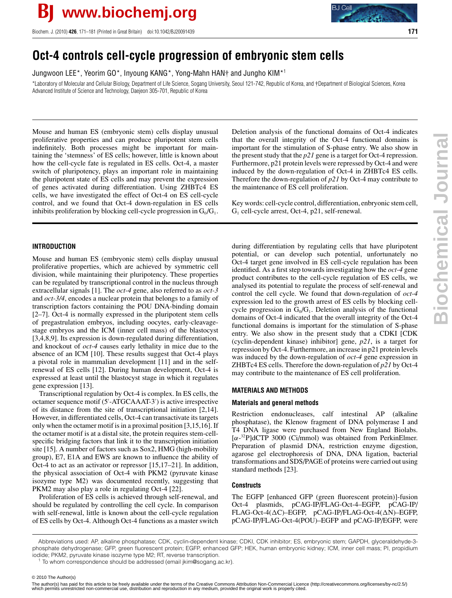

Biochem. J. (2010) **426**, 171–181 (Printed in Great Britain) doi:10.1042/BJ20091439 **171**

# **Oct-4 controls cell-cycle progression of embryonic stem cells**

Jungwoon LEE\*, Yeorim GO\*, Inyoung KANG\*, Yong-Mahn HAN† and Jungho KIM\*<sup>1</sup>

\*Laboratory of Molecular and Cellular Biology, Department of Life Science, Sogang University, Seoul 121-742, Republic of Korea, and †Department of Biological Sciences, Korea Advanced Institute of Science and Technology, Daejeon 305-701, Republic of Korea

Mouse and human ES (embryonic stem) cells display unusual proliferative properties and can produce pluripotent stem cells indefinitely. Both processes might be important for maintaining the 'stemness' of ES cells; however, little is known about how the cell-cycle fate is regulated in ES cells. Oct-4, a master switch of pluripotency, plays an important role in maintaining the pluripotent state of ES cells and may prevent the expression of genes activated during differentiation. Using ZHBTc4 ES cells, we have investigated the effect of Oct-4 on ES cell-cycle control, and we found that Oct-4 down-regulation in ES cells inhibits proliferation by blocking cell-cycle progression in  $G_0/G_1$ .

# **INTRODUCTION**

Mouse and human ES (embryonic stem) cells display unusual proliferative properties, which are achieved by symmetric cell division, while maintaining their pluripotency. These properties can be regulated by transcriptional control in the nucleus through extracellular signals [1]. The *oct-4* gene, also referred to as *oct-3* and *oct-3/4*, encodes a nuclear protein that belongs to a family of transcription factors containing the POU DNA-binding domain [2–7]. Oct-4 is normally expressed in the pluripotent stem cells of pregastrulation embryos, including oocytes, early-cleavagestage embryos and the ICM (inner cell mass) of the blastocyst [3,4,8,9]. Its expression is down-regulated during differentiation, and knockout of *oct-4* causes early lethality in mice due to the absence of an ICM [10]. These results suggest that Oct-4 plays a pivotal role in mammalian development [11] and in the selfrenewal of ES cells [12]. During human development, Oct-4 is expressed at least until the blastocyst stage in which it regulates gene expression [13].

Transcriptional regulation by Oct-4 is complex. In ES cells, the octamer sequence motif (5'-ATGCAAAT-3') is active irrespective of its distance from the site of transcriptional initiation [2,14]. However, in differentiated cells, Oct-4 can transactivate its targets only when the octamer motif is in a proximal position [3,15,16]. If the octamer motif is at a distal site, the protein requires stem-cellspecific bridging factors that link it to the transcription initiation site [15]. A number of factors such as Sox2, HMG (high-mobility group), E7, E1A and EWS are known to influence the ability of Oct-4 to act as an activator or repressor [15,17–21]. In addition, the physical association of Oct-4 with PKM2 (pyruvate kinase isozyme type M2) was documented recently, suggesting that PKM2 may also play a role in regulating Oct-4 [22].

Proliferation of ES cells is achieved through self-renewal, and should be regulated by controlling the cell cycle. In comparison with self-renewal, little is known about the cell-cycle regulation of ES cells by Oct-4. Although Oct-4 functions as a master switch Deletion analysis of the functional domains of Oct-4 indicates that the overall integrity of the Oct-4 functional domains is important for the stimulation of S-phase entry. We also show in the present study that the *p21* gene is a target for Oct-4 repression. Furthermore, p21 protein levels were repressed by Oct-4 and were induced by the down-regulation of Oct-4 in ZHBTc4 ES cells. Therefore the down-regulation of *p21* by Oct-4 may contribute to the maintenance of ES cell proliferation.

Key words: cell-cycle control, differentiation, enbryonic stem cell,  $G_1$  cell-cycle arrest, Oct-4, p21, self-renewal.

during differentiation by regulating cells that have pluripotent potential, or can develop such potential, unfortunately no Oct-4 target gene involved in ES cell-cycle regulation has been identified. As a first step towards investigating how the *oct-4* gene product contributes to the cell-cycle regulation of ES cells, we analysed its potential to regulate the process of self-renewal and control the cell cycle. We found that down-regulation of *oct-4* expression led to the growth arrest of ES cells by blocking cellcycle progression in  $G_0/G_1$ . Deletion analysis of the functional domains of Oct-4 indicated that the overall integrity of the Oct-4 functional domains is important for the stimulation of S-phase entry. We also show in the present study that a CDKI [CDK (cyclin-dependent kinase) inhibitor] gene, *p21*, is a target for repression by Oct-4. Furthermore, an increase in p21 protein levels was induced by the down-regulation of *oct-4* gene expression in ZHBTc4 ES cells. Therefore the down-regulation of *p21* by Oct-4 may contribute to the maintenance of ES cell proliferation.

# **MATERIALS AND METHODS**

# **Materials and general methods**

Restriction endonucleases, calf intestinal AP (alkaline phosphatase), the Klenow fragment of DNA polymerase I and T4 DNA ligase were purchased from New England Biolabs. [α-32P]dCTP 3000 (Ci/mmol) was obtained from PerkinElmer. Preparation of plasmid DNA, restriction enzyme digestion, agarose gel electrophoresis of DNA, DNA ligation, bacterial transformations and SDS/PAGE of proteins were carried out using standard methods [23].

# **Constructs**

The EGFP [enhanced GFP (green fluorescent protein)]-fusion Oct-4 plasmids, pCAG-IP/FLAG-Oct-4–EGFP, pCAG-IP/ FLAG-Oct-4( $\Delta$ C)–EGFP, pCAG-IP/FLAG-Oct-4( $\Delta$ N)–EGFP, pCAG-IP/FLAG-Oct-4(POU)–EGFP and pCAG-IP/EGFP, were

© 2010 The Author(s)

Abbreviations used: AP, alkaline phosphatase; CDK, cyclin-dependent kinase; CDKI, CDK inhibitor; ES, embryonic stem; GAPDH, glyceraldehyde-3 phosphate dehydrogenase; GFP, green fluorescent protein; EGFP, enhanced GFP; HEK, human embryonic kidney; ICM, inner cell mass; PI, propidium iodide; PKM2, pyruvate kinase isozyme type M2; RT, reverse transcription.

<sup>&</sup>lt;sup>1</sup> To whom correspondence should be addressed (email jkim@sogang.ac.kr).

<sup>© 2010</sup> The Author(s)<br>The author(s) has paid for this article to be freely available under the terms of the Creative Commons Attribution Non-Commercial Licence (http://creativecommons.org/licenses/by-nc/2.5/) which permits unrestricted non-commercial use, distribution and reproduction in any medium, provided the original work is properly cited.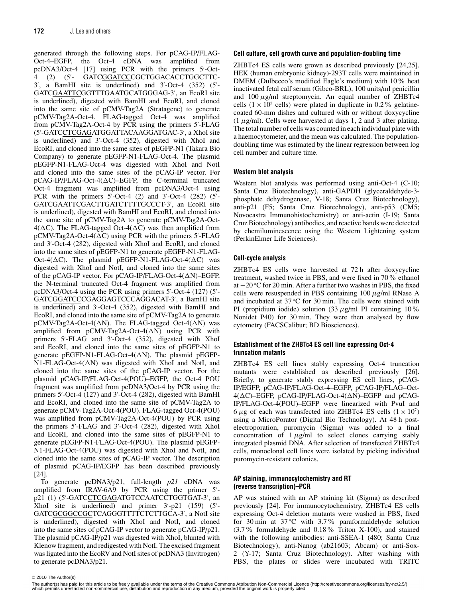generated through the following steps. For pCAG-IP/FLAG-Oct-4–EGFP, the Oct-4 cDNA was amplified from pcDNA3/Oct-4  $[17]$  using PCR with the primers 5'-Oct-4 (2) (5′- GATC<u>GGATCC</u>CGCTGGACACCTGGCTTC- $3'$ , a BamHI site is underlined) and  $3'$ -Oct-4 (352) (5'-GATC<u>GAATTC</u>GGTTTGAATGCATGGGAG-3', an EcoRI site is underlined), digested with BamHI and EcoRI, and cloned into the same site of pCMV-Tag2A (Stratagene) to generate pCMV-Tag2A-Oct-4. FLAG-tagged Oct-4 was amplified from pCMV-Tag2A-Oct-4 by PCR using the primers 5'-FLAG (5'-GATC<u>CTCGAG</u>ATGGATTACAAGGATGAC-3', a XhoI site is underlined) and 3'-Oct-4 (352), digested with XhoI and EcoRI, and cloned into the same sites of pEGFP-N1 (Takara Bio Company) to generate pEGFP-N1-FLAG-Oct-4. The plasmid pEGFP-N1-FLAG-Oct-4 was digested with XhoI and NotI and cloned into the same sites of the pCAG-IP vector. For pCAG-IP/FLAG-Oct-4( $\Delta$ C)–EGFP, the C-terminal truncated Oct-4 fragment was amplified from pcDNA3/Oct-4 using PCR with the primers  $5'$ -Oct-4 (2) and  $3'$ -Oct-4 (282) ( $5'$ -GATC<u>GAATTC</u>GACTTGATCTTTTGCCCT-3', an EcoRI site is underlined), digested with BamHI and EcoRI, and cloned into the same site of pCMV-Tag2A to generate pCMV-Tag2A-Oct- $4(\Delta C)$ . The FLAG-tagged Oct-4( $\Delta C$ ) was then amplified from  $pCMV$ -Tag2A-Oct-4( $\Delta C$ ) using PCR with the primers 5'-FLAG and 3'-Oct-4 (282), digested with XhoI and EcoRI, and cloned into the same sites of pEGFP-N1 to generate pEGFP-N1-FLAG-Oct-4( $\Delta$ C). The plasmid pEGFP-N1-FLAG-Oct-4( $\Delta$ C) was digested with XhoI and NotI, and cloned into the same sites of the pCAG-IP vector. For pCAG-IP/FLAG-Oct-4( $\Delta N$ )–EGFP, the N-terminal truncated Oct-4 fragment was amplified from pcDNA3/Oct-4 using the PCR using primers  $5'$ -Oct-4 (127) ( $5'$ -GATC<u>GGATCC</u>CGAGGAGTCCCAGGACAT-3', a BamHI site is underlined) and 3'-Oct-4 (352), digested with BamHI and EcoRI, and cloned into the same site of pCMV-Tag2A to generate pCMV-Tag2A-Oct-4( $\Delta N$ ). The FLAG-tagged Oct-4( $\Delta N$ ) was amplified from pCMV-Tag2A-Oct-4( $\Delta N$ ) using PCR with primers 5'-FLAG and 3'-Oct-4 (352), digested with XhoI and EcoRI, and cloned into the same sites of pEGFP-N1 to generate pEGFP-N1-FLAG-Oct-4( $\Delta$ N). The plasmid pEGFP-N1-FLAG-Oct-4( $\Delta N$ ) was digested with XhoI and NotI, and cloned into the same sites of the pCAG-IP vector. For the plasmid pCAG-IP/FLAG-Oct-4(POU)–EGFP, the Oct-4 POU fragment was amplified from pcDNA3/Oct-4 by PCR using the primers 5'-Oct-4 (127) and 3'-Oct-4 (282), digested with BamHI and EcoRI, and cloned into the same site of pCMV-Tag2A to generate pCMV-Tag2A-Oct-4(POU). FLAG-tagged Oct-4(POU) was amplified from pCMV-Tag2A-Oct-4(POU) by PCR using the primers 5'-FLAG and 3'-Oct-4 (282), digested with XhoI and EcoRI, and cloned into the same sites of pEGFP-N1 to generate pEGFP-N1-FLAG-Oct-4(POU). The plasmid pEGFP-N1-FLAG-Oct-4(POU) was digested with XhoI and NotI, and cloned into the same sites of pCAG-IP vector. The description of plasmid pCAG-IP/EGFP has been described previously [24].

To generate pcDNA3/p21, full-length *p21* cDNA was amplified from IRAV-6A9 by PCR using the primer 5'p21 (1) (5'-GATC<u>CTCGAG</u>ATGTCCAATCCTGGTGAT-3', an XhoI site is underlined) and primer  $3'-p21$  (159) (5'-GATC<u>GCGGCCGC</u>TCAGGGTTTTCTCTTGCA-3', a NotI site is underlined), digested with XhoI and NotI, and cloned into the same sites of pCAG-IP vector to generate pCAG-IP/p21. The plasmid pCAG-IP/p21 was digested with XhoI, blunted with Klenow fragment, and redigested with NotI. The excised fragment was ligated into the EcoRV and NotI sites of pcDNA3 (Invitrogen) to generate pcDNA3/p21.

# **Cell culture, cell growth curve and population-doubling time**

ZHBTc4 ES cells were grown as described previously [24,25]. HEK (human embryonic kidney)-293T cells were maintained in DMEM (Dulbecco's modified Eagle's medium) with 10% heat inactivated fetal calf serum (Gibco-BRL), 100 units/ml penicillin and  $100 \mu g/ml$  streptomycin. An equal number of ZHBTc4 cells ( $1 \times 10^5$  cells) were plated in duplicate in 0.2% gelatinecoated 60-mm dishes and cultured with or without doxycycline  $(1 \mu g/ml)$ . Cells were harvested at days 1, 2 and 3 after plating. The total number of cells was counted in each individual plate with a haemocytometer, and the mean was calculated. The populationdoubling time was estimated by the linear regression between log cell number and culture time.

# **Western blot analysis**

Western blot analysis was performed using anti-Oct-4 (C-10; Santa Cruz Biotechnology), anti-GAPDH (glyceraldehyde-3 phosphate dehydrogenase, V-18; Santa Cruz Biotechnology), anti-p21 (F5; Santa Cruz Biotechnology), anti-p53 (CM5; Novocastra Immunohistochemistry) or anti-actin (I-19; Santa Cruz Biotechnology) antibodies, and reactive bands were detected by chemiluminescence using the Western Lightening system (PerkinElmer Life Sciences).

# **Cell-cycle analysis**

ZHBTc4 ES cells were harvested at 72 h after doxycycline treatment, washed twice in PBS, and were fixed in 70% ethanol at −20 *◦*C for 20 min. After a further two washes in PBS, the fixed cells were resuspended in PBS containing  $100 \mu g/ml$  RNase A and incubated at 37 *◦*C for 30 min. The cells were stained with PI (propidium iodide) solution  $(33 \mu g/ml)$  PI containing  $10\%$ Nonidet P40) for 30 min. They were then analysed by flow cytometry (FACSCalibur; BD Biosciences).

# **Establishment of the ZHBTc4 ES cell line expressing Oct-4 truncation mutants**

ZHBTc4 ES cell lines stably expressing Oct-4 truncation mutants were established as described previously [26]. Briefly, to generate stably expressing ES cell lines, pCAG-IP/EGFP, pCAG-IP/FLAG-Oct-4–EGFP, pCAG-IP/FLAG–Oct- $4(\Delta C)$ –EGFP, pCAG-IP/FLAG-Oct- $4(\Delta N)$ –EGFP and pCAG-IP/FLAG-Oct-4(POU)–EGFP were linearized with PvuI and 6  $\mu$ g of each was transfected into ZHBTc4 ES cells  $(1 \times 10^7)$ using a MicroPorator (Digital Bio Technology). At 48 h postelectroporation, puromycin (Sigma) was added to a final concentration of  $1 \mu g/ml$  to select clones carrying stably integrated plasmid DNA. After selection of transfected ZHBTc4 cells, monoclonal cell lines were isolated by picking individual puromycin-resistant colonies.

# **AP staining, immunocytochemistry and RT (reverse transcription)–PCR**

AP was stained with an AP staining kit (Sigma) as described previously [24]. For immunocytochemistry, ZHBTc4 ES cells expressing Oct-4 deletion mutants were washed in PBS, fixed for 30 min at 37 *◦* C with 3.7% paraformaldehyde solution (3.7% formaldehyde and 0.18% Triton X-100), and stained with the following antibodies: anti-SSEA-1 (480; Santa Cruz Biotechnology), anti-Nanog (ab21603; Abcam) or anti-Sox-2 (Y-17; Santa Cruz Biotechnology). After washing with PBS, the plates or slides were incubated with TRITC

<sup>© 2010</sup> The Author(s)<br>The author(s) has paid for this article to be freely available under the terms of the Creative Commons Attribution Non-Commercial Licence (http://creativecommons.org/licenses/by-nc/2.5/) which permits unrestricted non-commercial use, distribution and reproduction in any medium, provided the original work is properly cited.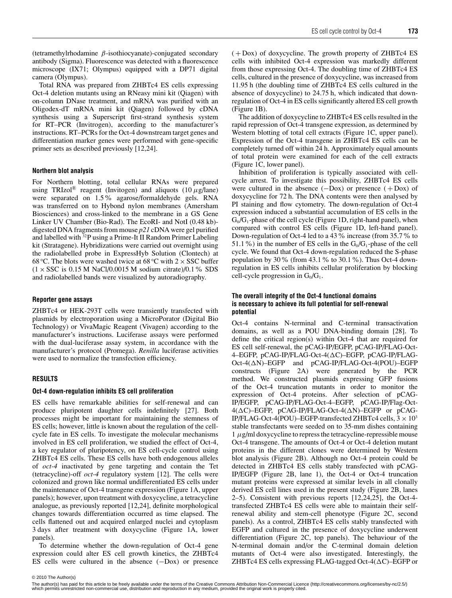(tetramethylrhodamine β-isothiocyanate)-conjugated secondary antibody (Sigma). Fluorescence was detected with a fluorescence microscope (IX71; Olympus) equipped with a DP71 digital camera (Olympus).

Total RNA was prepared from ZHBTc4 ES cells expressing Oct-4 deletion mutants using an RNeasy mini kit (Qiagen) with on-column DNase treatment, and mRNA was purified with an Oligodex-dT mRNA mini kit (Qiagen) followed by cDNA synthesis using a Superscript first-strand synthesis system for RT–PCR (Invitrogen), according to the manufacturer's instructions. RT–PCRs for the Oct-4 downstream target genes and differentiation marker genes were performed with gene-specific primer sets as described previously [12,24].

#### **Northern blot analysis**

For Northern blotting, total cellular RNAs were prepared using TRIzol® reagent (Invitogen) and aliquots (10  $\mu$ g/lane) were separated on 1.5% agarose/formaldehyde gels. RNA was transferred on to Hybond nylon membranes (Amersham Biosciences) and cross-linked to the membrane in a GS Gene Linker UV Chamber (Bio-Rad). The EcoRI- and NotI (0.48 kb) digested DNA fragments from mouse *p21* cDNA were gel purified and labelled with 32P using a Prime-It II Random Primer Labeling kit (Stratagene). Hybridizations were carried out overnight using the radiolabelled probe in ExpressHyb Solution (Clontech) at 68 *◦*C. The blots were washed twice at 68 *◦*C with 2 × SSC buffer  $(1 \times SSC$  is 0.15 M NaCl/0.0015 M sodium citrate)/0.1% SDS and radiolabelled bands were visualized by autoradiography.

### **Reporter gene assays**

ZHBTc4 or HEK-293T cells were transiently transfected with plasmids by electroporation using a MicroPorator (Digital Bio Technology) or VivaMagic Reagent (Vivagen) according to the manufacturer's instructions. Luciferase assays were performed with the dual-luciferase assay system, in accordance with the manufacturer's protocol (Promega). *Renilla* luciferase activities were used to normalize the transfection efficiency.

### **RESULTS**

# **Oct-4 down-regulation inhibits ES cell proliferation**

ES cells have remarkable abilities for self-renewal and can produce pluripotent daughter cells indefinitely [27]. Both processes might be important for maintaining the stemness of ES cells; however, little is known about the regulation of the cellcycle fate in ES cells. To investigate the molecular mechanisms involved in ES cell proliferation, we studied the effect of Oct-4, a key regulator of pluripotency, on ES cell-cycle control using ZHBTc4 ES cells. These ES cells have both endogenous alleles of *oct-4* inactivated by gene targeting and contain the Tet (tetracycline)-off *oct-4* regulatory system [12]. The cells were colonized and grown like normal undifferentiated ES cells under the maintenance of Oct-4 transgene expression (Figure 1A, upper panels); however, upon treatment with doxycycline, a tetracycline analogue, as previously reported [12,24], definite morphological changes towards differentiation occurred as time elapsed. The cells flattened out and acquired enlarged nuclei and cytoplasm 3 days after treatment with doxycycline (Figure 1A, lower panels).

To determine whether the down-regulation of Oct-4 gene expression could alter ES cell growth kinetics, the ZHBTc4 ES cells were cultured in the absence (−Dox) or presence  $( +$  Dox) of doxycycline. The growth property of ZHBTc4 ES cells with inhibited Oct-4 expression was markedly different from those expressing Oct-4. The doubling time of ZHBTc4 ES cells, cultured in the presence of doxycycline, was increased from 11.95 h (the doubling time of ZHBTc4 ES cells cultured in the absence of doxycycline) to 24.75 h, which indicated that downregulation of Oct-4 in ES cells significantly altered ES cell growth (Figure 1B).

The addition of doxycycline to ZHBTc4 ES cells resulted in the rapid repression of Oct-4 transgene expression, as determined by Western blotting of total cell extracts (Figure 1C, upper panel). Expression of the Oct-4 transgene in ZHBTc4 ES cells can be completely turned off within 24 h. Approximately equal amounts of total protein were examined for each of the cell extracts (Figure 1C, lower panel).

Inhibition of proliferation is typically associated with cellcycle arrest. To investigate this possibility, ZHBTc4 ES cells were cultured in the absence  $(-Dox)$  or presence  $(+Dox)$  of doxycycline for 72 h. The DNA contents were then analysed by PI staining and flow cytometry. The down-regulation of Oct-4 expression induced a substantial accumulation of ES cells in the  $G_0/G_1$ -phase of the cell cycle (Figure 1D, right-hand panel), when compared with control ES cells (Figure 1D, left-hand panel). Down-regulation of Oct-4 led to a 43% increase (from 35.7% to 51.1%) in the number of ES cells in the  $G_0/G_1$ -phase of the cell cycle. We found that Oct-4 down-regulation reduced the S-phase population by 30% (from 43.1% to 30.1%). Thus Oct-4 downregulation in ES cells inhibits cellular proliferation by blocking cell-cycle progression in  $G_0/G_1$ .

# **The overall integrity of the Oct-4 functional domains is necessary to achieve its full potential for self-renewal potential**

Oct-4 contains N-terminal and C-terminal transactivation domains, as well as a POU DNA-binding domain [28]. To define the critical region(s) within Oct-4 that are required for ES cell self-renewal, the pCAG-IP/EGFP, pCAG-IP/FLAG-Oct-4–EGFP, pCAG-IP/FLAG-Oct-4( $\Delta$ C)–EGFP, pCAG-IP/FLAG-Oct-4(N)–EGFP and pCAG-IP/FLAG-Oct-4(POU)–EGFP constructs (Figure 2A) were generated by the PCR method. We constructed plasmids expressing GFP fusions of the Oct-4 truncation mutants in order to monitor the expression of Oct-4 proteins. After selection of pCAG-IP/EGFP, pCAG-IP/FLAG-Oct-4–EGFP, pCAG-IP/Flag-Oct-4( $\Delta$ C)–EGFP, pCAG-IP/FLAG-Oct-4( $\Delta$ N)–EGFP or pCAG-IP/FLAG-Oct-4(POU)–EGFP-transfected ZHBTc4 cells,  $3 \times 10^3$ stable transfectants were seeded on to 35-mm dishes containing  $1 \mu$ g/ml doxycycline to repress the tetracycline-repressible mouse Oct-4 transgene. The amounts of Oct-4 or Oct-4 deletion mutant proteins in the different clones were determined by Western blot analysis (Figure 2B). Although no Oct-4 protein could be detected in ZHBTc4 ES cells stably transfected with pCAG-IP/EGFP (Figure 2B, lane 1), the Oct-4 or Oct-4 truncation mutant proteins were expressed at similar levels in all clonally derived ES cell lines used in the present study (Figure 2B, lanes 2–5). Consistent with previous reports [12,24,25], the Oct-4 transfected ZHBTc4 ES cells were able to maintain their selfrenewal ability and stem-cell phenotype (Figure 2C, second panels). As a control, ZHBTc4 ES cells stably transfected with EGFP and cultured in the presence of doxycycline underwent differentiation (Figure 2C, top panels). The behaviour of the N-terminal domain and/or the C-terminal domain deletion mutants of Oct-4 were also investigated. Interestingly, the ZHBTc4 ES cells expressing FLAG-tagged Oct-4 $(\Delta C)$ –EGFP or

<sup>© 2010</sup> The Author(s)<br>The author(s) has paid for this article to be freely available under the terms of the Creative Commons Attribution Non-Commercial Licence (http://creativecommons.org/licenses/by-nc/2.5/) which permits unrestricted non-commercial use, distribution and reproduction in any medium, provided the original work is properly cited.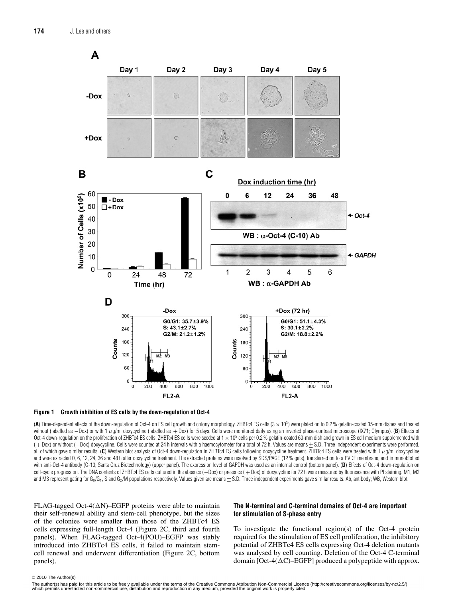

#### **Figure 1 Growth inhibition of ES cells by the down-regulation of Oct-4**

(A) Time-dependent effects of the down-regulation of Oct-4 on ES cell growth and colony morphology. ZHBTc4 ES cells  $(3 \times 10^3)$  were plated on to 0.2% gelatin-coated 35-mm dishes and treated without (labelled as -Dox) or with 1 μg/ml doxycycline (labelled as +Dox) for 5 days. Cells were monitored daily using an inverted phase-contrast microscope (IX71; Olympus). (**B**) Effects of Oct-4 down-regulation on the proliferation of ZHBTc4 ES cells. ZHBTc4 ES cells were seeded at  $1 \times 10^5$  cells per 0.2% gelatin-coated 60-mm dish and grown in ES cell medium supplemented with ( <sup>+</sup> Dox) or without (−Dox) doxycycline. Cells were counted at 24 h intervals with a haemocytometer for a total of 72 h. Values are means +− S.D. Three independent experiments were performed, all of which gave similar results. (C) Western blot analysis of Oct-4 down-regulation in ZHBTc4 ES cells following doxycycline treatment. ZHBTc4 ES cells were treated with 1  $\mu$ g/ml doxycycline and were extracted 0, 6, 12, 24, 36 and 48 h after doxycycline treatment. The extracted proteins were resolved by SDS/PAGE (12% gels), transferred on to a PVDF membrane, and immunoblotted with anti-Oct-4 antibody (C-10; Santa Cruz Biotechnology) (upper panel). The expression level of GAPDH was used as an internal control (bottom panel). (**D**) Effects of Oct-4 down-regulation on cell-cycle progression. The DNA contents of ZHBTc4 ES cells cultured in the absence (−Dox) or presence (+Dox) of doxycycline for 72 h were measured by fluorescence with PI staining. M1, M2 and M3 represent gating for G<sub>0</sub>/G<sub>1</sub>, S and G<sub>2</sub>/M populations respectively. Values given are means  $\pm$  S.D. Three independent experiments gave similar results. Ab, antibody; WB, Western blot.

FLAG-tagged Oct-4( $\Delta N$ )–EGFP proteins were able to maintain their self-renewal ability and stem-cell phenotype, but the sizes of the colonies were smaller than those of the ZHBTc4 ES cells expressing full-length Oct-4 (Figure 2C, third and fourth panels). When FLAG-tagged Oct-4(POU)–EGFP was stably introduced into ZHBTc4 ES cells, it failed to maintain stemcell renewal and underwent differentiation (Figure 2C, bottom panels).

# **The N-terminal and C-terminal domains of Oct-4 are important for stimulation of S-phase entry**

To investigate the functional region(s) of the Oct-4 protein required for the stimulation of ES cell proliferation, the inhibitory potential of ZHBTc4 ES cells expressing Oct-4 deletion mutants was analysed by cell counting. Deletion of the Oct-4 C-terminal domain [Oct-4( $\Delta C$ )–EGFP] produced a polypeptide with approx.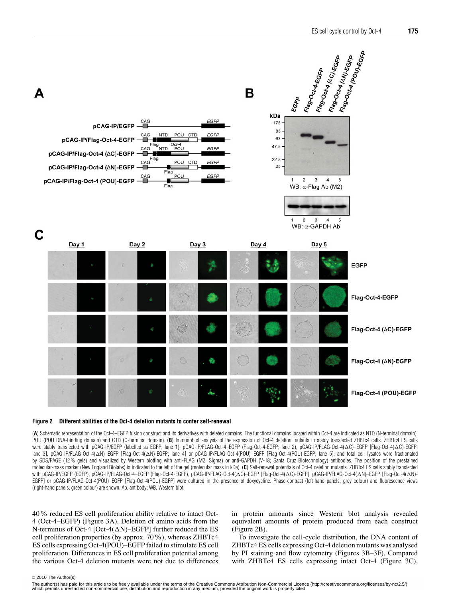

# **Figure 2 Different abilities of the Oct-4 deletion mutants to confer self-renewal**

(**A**) Schematic representation of the Oct-4–EGFP fusion construct and its derivatives with deleted domains. The functional domains located within Oct-4 are indicated as NTD (N-terminal domain), POU (POU DNA-binding domain) and CTD (C-terminal domain). (B) Immunoblot analysis of the expression of Oct-4 deletion mutants in stably transfected ZHBTc4 cells. ZHBTc4 ES cells were stably transfected with pCAG-IP/EGFP (labelled as EGFP; lane 1), pCAG-IP/FLAG-Oct-4-EGFP (Flag-Oct-4-EGFP; lane 2), pCAG-IP/FLAG-Oct-4( $\Delta$ C)-EGFP; [Flag-Oct-4( $\Delta$ C)-EGFP; lane 3], pCAG-IP/FLAG-Oct-4( $\Delta N$ )–EGFP [Flag-Oct-4( $\Delta N$ )–EGFP; lane 4] or pCAG-IP/FLAG-Oct-4(POU)–EGFP [Flag-Oct-4(POU)–EGFP; lane 5], and total cell lysates were fractionated by SDS/PAGE (12 % gels) and visualized by Western blotting with anti-FLAG (M2; Sigma) or anti-GAPDH (V-18; Santa Cruz Biotechnology) antibodies. The position of the prestained molecular-mass marker (New England Biolabs) is indicated to the left of the gel (molecular mass in kDa). (**C**) Self-renewal potentials of Oct-4 deletion mutants. ZHBTc4 ES cells stably transfected with pCAG-IP/EGFP (EGFP), pCAG-IP/FLAG-Oct-4-EGFP (Flag-Oct-4-EGFP), pCAG-IP/FLAG-Oct-4( $\Delta$ C)–EGFP [Flag-Oct-4( $\Delta$ C)-EGFP], pCAG-IP/FLAG-Oct-4( $\Delta$ N)-EGFP [Flag-Oct-4( $\Delta$ N)-EGFP [Flag-Oct-4( $\Delta$ N)-EGFP] or pCAG-IP/FLAG-Oct-4(POU)-EGFP [Flag-Oct-4(POU)-EGFP] were cultured in the presence of doxycycline. Phase-contrast (left-hand panels, grey colour) and fluorescence views (right-hand panels, green colour) are shown. Ab, antibody; WB, Western blot.

40% reduced ES cell proliferation ability relative to intact Oct-4 (Oct-4–EGFP) (Figure 3A). Deletion of amino acids from the N-terminus of Oct-4 [Oct-4( $\Delta N$ )–EGFP] further reduced the ES cell proliferation properties (by approx. 70%), whereas ZHBTc4 ES cells expressing Oct-4(POU)–EGFP failed to stimulate ES cell proliferation. Differences in ES cell proliferation potential among the various Oct-4 deletion mutants were not due to differences in protein amounts since Western blot analysis revealed equivalent amounts of protein produced from each construct (Figure 2B).

To investigate the cell-cycle distribution, the DNA content of ZHBTc4 ES cells expressing Oct-4 deletion mutants was analysed by PI staining and flow cytometry (Figures 3B–3F). Compared with ZHBTc4 ES cells expressing intact Oct-4 (Figure 3C),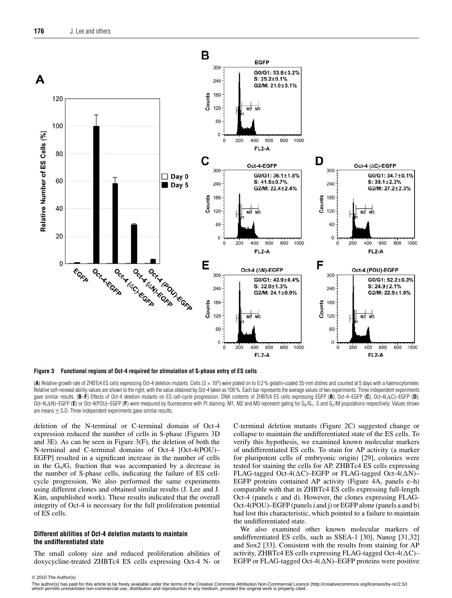



(A) Relative growth rate of ZHBTc4 ES cells expressing Oct-4 deletion mutants. Cells (3 × 10<sup>3</sup>) were plated on to 0.2 % gelatin-coated 35-mm dishes and counted at 5 days with a haemocytometer. Relative self-renewal ability values are shown to the right, with the value obtained by Oct-4 taken as 100%. Each bar represents the average values of two experiments. Three independent experiments gave similar results. (**B**–**F**) Effects of Oct-4 deletion mutants on ES cell-cycle progression. DNA contents of ZHBTc4 ES cells expressing EGFP (**B**), Oct-4–EGFP (**C**), Oct-4(C)–EGFP (**D**), Oct-4( $\Delta N$ )–EGFP (**E**) or Oct-4(POU)–EGFP (**F**) were measured by fluorescence with PI staining. M1, M2 and M3 represent gating for G<sub>0</sub>/G<sub>1</sub>, S and G<sub>2</sub>/M populations respectively. Values shown are means  $+ S.D.$  Three independent experiments gave similar results.

deletion of the N-terminal or C-terminal domain of Oct-4 expression reduced the number of cells in S-phase (Figures 3D and 3E). As can be seen in Figure 3(F), the deletion of both the N-terminal and C-terminal domains of Oct-4 [Oct-4(POU)– EGFP] resulted in a significant increase in the number of cells in the  $G_0/G_1$  fraction that was accompanied by a decrease in the number of S-phase cells, indicating the failure of ES cellcycle progression. We also performed the same experiments using different clones and obtained similar results (J. Lee and J. Kim, unpublished work). These results indicated that the overall integrity of Oct-4 is necessary for the full proliferation potential of ES cells.

# **Different abilities of Oct-4 deletion mutants to maintain the undifferentiated state**

The small colony size and reduced proliferation abilities of doxycycline-treated ZHBTc4 ES cells expressing Oct-4 N- or C-terminal deletion mutants (Figure 2C) suggested change or collapse to maintain the undifferentiated state of the ES cells. To verify this hypothesis, we examined known molecular markers of undifferentiated ES cells. To stain for AP activity (a marker for pluripotent cells of embryonic origin) [29], colonies were tested for staining the cells for AP. ZHBTc4 ES cells expressing FLAG-tagged Oct-4( $\Delta$ C)–EGFP or FLAG-tagged Oct-4( $\Delta$ N)– EGFP proteins contained AP activity (Figure 4A, panels e–h) comparable with that in ZHBTc4 ES cells expressing full-length Oct-4 (panels c and d). However, the clones expressing FLAG-Oct-4(POU)–EGFP (panels i and j) or EGFP alone (panels a and b) had lost this characteristic, which pointed to a failure to maintain the undifferentiated state.

We also examined other known molecular markers of undifferentiated ES cells, such as SSEA-1 [30], Nanog [31,32] and Sox2 [33]. Consistent with the results from staining for AP activity, ZHBTc4 ES cells expressing FLAG-tagged Oct-4( $\Delta$ C)– EGFP or FLAG-tagged Oct-4( $\Delta N$ )–EGFP proteins were positive

<sup>© 2010</sup> The Author(s)<br>The author(s) has paid for this article to be freely available under the terms of the Creative Commons Attribution Non-Commercial Licence (http://creativecommons.org/licenses/by-nc/2.5/) which permits unrestricted non-commercial use, distribution and reproduction in any medium, provided the original work is properly cited.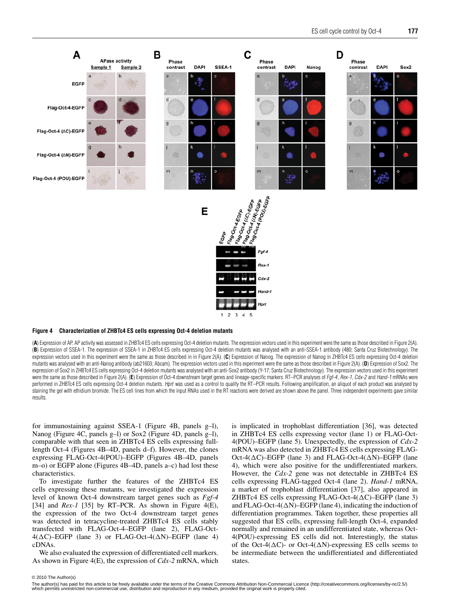

#### **Figure 4 Characterization of ZHBTc4 ES cells expressing Oct-4 deletion mutants**

(**A**) Expression of AP. AP activity was assessed in ZHBTc4 ES cells expressing Oct-4 deletion mutants. The expression vectors used in this experiment werethe same as those described in Figure 2(A). (**B**) Expression of SSEA-1. The expression of SSEA-1 in ZHBTc4 ES cells expressing Oct-4 deletion mutants was analysed with an anti-SSEA-1 antibody (480; Santa Cruz Biotechnology). The expression vectors used in this experiment were the same as those described in in Figure 2(A). (**C**) Expression of Nanog. The expression of Nanog in ZHBTc4 ES cells expressing Oct-4 deletion mutants was analysed with an anti-Nanog antibody (ab21603; Abcam). The expression vectors used in this experiment were the same as those described in Figure 2(A). (**D**) Expression of Sox2. The expression of Sox2 in ZHBTc4 ES cells expressing Oct-4 deletion mutants was analysed with an anti-Sox2 antibody (Y-17; Santa Cruz Biotechnology). The expression vectors used in this experiment were the same as those described in Figure 2(A). (**E**) Expression of Oct-4 downstream target genes and lineage-specific markers. RT–PCR analyses of *Fgf-4, Rex-1, Cdx-2* and *Hand-1* mRNAs were performed in ZHBTc4 ES cells expressing Oct-4 deletion mutants. Hprt was used as a control to qualify the RT–PCR results. Following amplification, an aliquot of each product was analysed by staining the gel with ethidium bromide. The ES cell lines from which the input RNAs used in the RT reactions were derived are shown above the panel. Three independent experiments gave similar results.

 $\overline{2}$ 3  $\overline{4}$ 5 Hpn

for immunostaining against SSEA-1 (Figure 4B, panels g–l), Nanog (Figure 4C, panels g–l) or Sox2 (Figure 4D, panels g–l), comparable with that seen in ZHBTc4 ES cells expressing fulllength Oct-4 (Figures 4B–4D, panels d–f). However, the clones expressing FLAG-Oct-4(POU)–EGFP (Figures 4B–4D, panels m–o) or EGFP alone (Figures 4B–4D, panels a–c) had lost these characteristics.

To investigate further the features of the ZHBTc4 ES cells expressing these mutants, we investigated the expression level of known Oct-4 downstream target genes such as *Fgf-4* [34] and *Rex-1* [35] by RT–PCR. As shown in Figure 4(E), the expression of the two Oct-4 downstream target genes was detected in tetracycline-treated ZHBTc4 ES cells stably transfected with FLAG-Oct-4–EGFP (lane 2), FLAG-Oct- $4(\Delta C)$ –EGFP (lane 3) or FLAG-Oct-4( $\Delta N$ )–EGFP (lane 4) cDNAs.

We also evaluated the expression of differentiated cell markers. As shown in Figure 4(E), the expression of *Cdx-2* mRNA, which is implicated in trophoblast differentiation [36], was detected in ZHBTc4 ES cells expressing vector (lane 1) or FLAG-Oct-4(POU)–EGFP (lane 5). Unexpectedly, the expression of *Cdx-2* mRNA was also detected in ZHBTc4 ES cells expressing FLAG-Oct-4( $\Delta C$ )–EGFP (lane 3) and FLAG-Oct-4( $\Delta N$ )–EGFP (lane 4), which were also positive for the undifferentiated markers. However, the *Cdx-2* gene was not detectable in ZHBTc4 ES cells expressing FLAG-tagged Oct-4 (lane 2). *Hand-1* mRNA, a marker of trophoblast differentiation [37], also appeared in ZHBTc4 ES cells expressing FLAG-Oct-4( $\Delta$ C)–EGFP (lane 3) and FLAG-Oct-4( $\Delta N$ )–EGFP (lane 4), indicating the induction of differentiation programmes. Taken together, these properties all suggested that ES cells, expressing full-length Oct-4, expanded normally and remained in an undifferentiated state, whereas Oct-4(POU)-expressing ES cells did not. Interestingly, the status of the Oct-4( $\Delta C$ )- or Oct-4( $\Delta N$ )-expressing ES cells seems to be intermediate between the undifferentiated and differentiated states.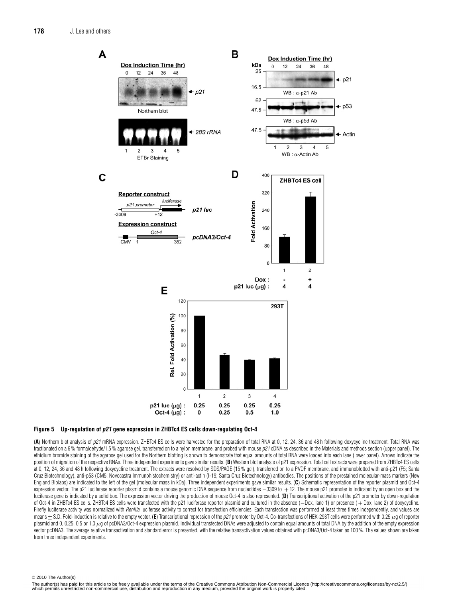

# **Figure 5 Up-regulation of p21 gene expression in ZHBTc4 ES cells down-regulating Oct-4**

(A) Northern blot analysis of p21 mRNA expression. ZHBTc4 ES cells were harvested for the preparation of total RNA at 0, 12, 24, 36 and 48 h following doxycycline treatment. Total RNA was fractionated on a 6% formaldehyde/1.5% agarose gel, transferred on to a nylon membrane, and probed with mouse p21 cDNA as described in the Materials and methods section (upper panel). The ethidium bromide staining of the agarose gel used for the Northern blotting is shown to demonstrate that equal amounts of total RNA were loaded into each lane (lower panel). Arrows indicate the position of migration of the respective RNAs. Three independent experiments gave similar results. (B) Western blot analysis of p21 expression. Total cell extracts were prepared from ZHBTc4 ES cells at 0, 12, 24, 36 and 48 h following doxycycline treatment. The extracts were resolved by SDS/PAGE (15 % gel), transferred on to a PVDF membrane, and immunoblotted with anti-p21 (F5; Santa Cruz Biotechnology), anti-p53 (CM5; Novocastra Immunohistochemistry) or anti-actin (I-19; Santa Cruz Biotechnology) antibodies. The positions of the prestained molecular-mass markers (New England Biolabs) are indicated to the left of the gel (molecular mass in kDa). Three independent experiments gave similar results. (**C**) Schematic representation of the reporter plasmid and Oct-4 expression vector. The p21 luciferase reporter plasmid contains a mouse genomic DNA sequence from nucleotides  $-3309$  to  $+12$ . The mouse p21 promoter is indicated by an open box and the luciferase gene is indicated by a solid box. The expression vector driving the production of mouse Oct-4 is also represented. (D) Transcriptional activation of the p21 promoter by down-regulation of Oct-4 in ZHBTc4 ES cells. ZHBTc4 ES cells were transfected with the p21 luciferase reporter plasmid and cultured in the absence (−Dox, lane 1) or presence ( + Dox, lane 2) of doxycycline. Firefly luciferase activity was normalized with Renilla luciferase activity to correct for transfection efficiencies. Each transfection was performed at least three times independently, and values are means  $±$  S.D. Fold-induction is relative to the empty vector. (**E**) Transcriptional repression of the *p21* promoter by Oct-4. Co-transfections of HEK-293T cells were performed with 0.25 μg of reporter plasmid and 0, 0.25, 0.5 or 1.0  $\mu$ g of pcDNA3/Oct-4 expression plasmid. Individual transfected DNAs were adjusted to contain equal amounts of total DNA by the addition of the empty expression vector pcDNA3. The average relative transactivation and standard error is presented, with the relative transactivation values obtained with pcDNA3/Oct-4 taken as 100 %. The values shown are taken from three independent experiments.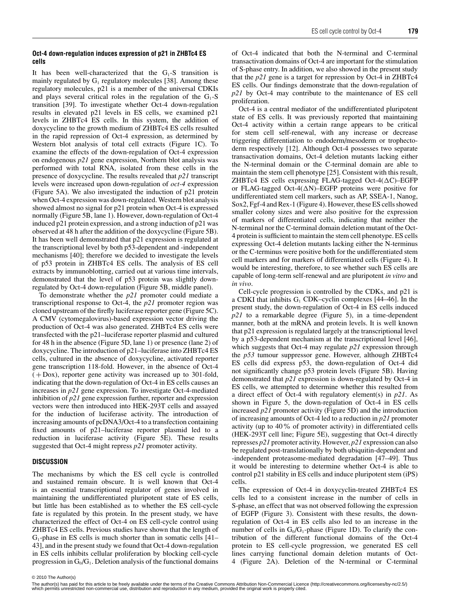### **Oct-4 down-regulation induces expression of p21 in ZHBTc4 ES cells**

It has been well-characterized that the  $G_1-S$  transition is mainly regulated by  $G_1$  regulatory molecules [38]. Among these regulatory molecules, p21 is a member of the universal CDKIs and plays several critical roles in the regulation of the  $G_1$ -S transition [39]. To investigate whether Oct-4 down-regulation results in elevated p21 levels in ES cells, we examined p21 levels in ZHBTc4 ES cells. In this system, the addition of doxycycline to the growth medium of ZHBTc4 ES cells resulted in the rapid repression of Oct-4 expression, as determined by Western blot analysis of total cell extracts (Figure 1C). To examine the effects of the down-regulation of Oct-4 expression on endogenous *p21* gene expression, Northern blot analysis was performed with total RNA, isolated from these cells in the presence of doxycycline. The results revealed that *p21* transcript levels were increased upon down-regulation of *oct-4* expression (Figure 5A). We also investigated the induction of p21 protein when Oct-4 expression was down-regulated. Western blot analysis showed almost no signal for p21 protein when Oct-4 is expressed normally (Figure 5B, lane 1). However, down-regulation of Oct-4 induced p21 protein expression, and a strong induction of p21 was observed at 48 h after the addition of the doxycycline (Figure 5B). It has been well demonstrated that p21 expression is regulated at the transcriptional level by both p53-dependent and -independent mechanisms [40]; therefore we decided to investigate the levels of p53 protein in ZHBTc4 ES cells. The analysis of ES cell extracts by immunoblotting, carried out at various time intervals, demonstrated that the level of p53 protein was slightly downregulated by Oct-4 down-regulation (Figure 5B, middle panel).

To demonstrate whether the *p21* promoter could mediate a transcriptional response to Oct-4, the *p21* promoter region was cloned upstream of the firefly luciferase reporter gene (Figure 5C). A CMV (cytomegalovirus)-based expression vector driving the production of Oct-4 was also generated. ZHBTc4 ES cells were transfected with the p21–luciferase reporter plasmid and cultured for 48 h in the absence (Figure 5D, lane 1) or presence (lane 2) of doxycycline. The introduction of p21–luciferase into ZHBTc4 ES cells, cultured in the absence of doxycycline, activated reporter gene transcription 118-fold. However, in the absence of Oct-4  $(+$  Dox), reporter gene activity was increased up to 301-fold, indicating that the down-regulation of Oct-4 in ES cells causes an increases in *p21* gene expression. To investigate Oct-4-mediated inhibition of *p21* gene expression further, reporter and expression vectors were then introduced into HEK-293T cells and assayed for the induction of luciferase activity. The introduction of increasing amounts of pcDNA3/Oct-4 to a transfection containing fixed amounts of p21–luciferase reporter plasmid led to a reduction in luciferase activity (Figure 5E). These results suggested that Oct-4 might repress *p21* promoter activity.

# **DISCUSSION**

The mechanisms by which the ES cell cycle is controlled and sustained remain obscure. It is well known that Oct-4 is an essential transcriptional regulator of genes involved in maintaining the undifferentiated pluripotent state of ES cells, but little has been established as to whether the ES cell-cycle fate is regulated by this protein. In the present study, we have characterized the effect of Oct-4 on ES cell-cycle control using ZHBTc4 ES cells. Previous studies have shown that the length of  $G_1$ -phase in ES cells is much shorter than in somatic cells [41– 43], and in the present study we found that Oct-4 down-regulation in ES cells inhibits cellular proliferation by blocking cell-cycle progression in  $G_0/G_1$ . Deletion analysis of the functional domains of Oct-4 indicated that both the N-terminal and C-terminal transactivation domains of Oct-4 are important for the stimulation of S-phase entry. In addition, we also showed in the present study that the *p21* gene is a target for repression by Oct-4 in ZHBTc4 ES cells. Our findings demonstrate that the down-regulation of *p21* by Oct-4 may contribute to the maintenance of ES cell proliferation.

Oct-4 is a central mediator of the undifferentiated pluripotent state of ES cells. It was previously reported that maintaining Oct-4 activity within a certain range appears to be critical for stem cell self-renewal, with any increase or decrease triggering differentiation to endoderm/mesoderm or trophectoderm respectively [12]. Although Oct-4 possesses two separate transactivation domains, Oct-4 deletion mutants lacking either the N-terminal domain or the C-terminal domain are able to maintain the stem cell phenotype [25]. Consistent with this result, ZHBTc4 ES cells expressing FLAG-tagged Oct-4( $\Delta$ C)–EGFP or FLAG-tagged Oct-4( $\Delta N$ )–EGFP proteins were positive for undifferentiated stem cell markers, such as AP, SSEA-1, Nanog, Sox2, Fgf-4 and Rex-1 (Figure 4). However, these ES cells showed smaller colony sizes and were also positive for the expression of markers of differentiated cells, indicating that neither the N-terminal nor the C-terminal domain deletion mutant of the Oct-4 protein is sufficient to maintain the stem cell phenotype. ES cells expressing Oct-4 deletion mutants lacking either the N-terminus or the C-terminus were positive both for the undifferentiated stem cell markers and for markers of differentiated cells (Figure 4). It would be interesting, therefore, to see whether such ES cells are capable of long-term self-renewal and are pluripotent *in vitro* and *in vivo*.

Cell-cycle progression is controlled by the CDKs, and p21 is a CDKI that inhibits  $G_1$  CDK–cyclin complexes [44–46]. In the present study, the down-regulation of Oct-4 in ES cells induced *p21* to a remarkable degree (Figure 5), in a time-dependent manner, both at the mRNA and protein levels. It is well known that p21 expression is regulated largely at the transcriptional level by a p53-dependent mechanism at the transcriptional level [46], which suggests that Oct-4 may regulate *p21* expression through the *p53* tumour suppressor gene. However, although ZHBTc4 ES cells did express p53, the down-regulation of Oct-4 did not significantly change p53 protein levels (Figure 5B). Having demonstrated that *p21* expression is down-regulated by Oct-4 in ES cells, we attempted to determine whether this resulted from a direct effect of Oct-4 with regulatory element(s) in *p21*. As shown in Figure 5, the down-regulation of Oct-4 in ES cells increased *p21* promoter activity (Figure 5D) and the introduction of increasing amounts of Oct-4 led to a reduction in *p21* promoter activity (up to 40% of promoter activity) in differentiated cells (HEK-293T cell line; Figure 5E), suggesting that Oct-4 directly represses *p21* promoter activity. However, *p21* expression can also be regulated post-translationally by both ubiquitin-dependent and -independent proteasome-mediated degradation [47–49]. Thus it would be interesting to determine whether Oct-4 is able to control p21 stability in ES cells and induce pluripotent stem (iPS) cells.

The expression of Oct-4 in doxycyclin-treated ZHBTc4 ES cells led to a consistent increase in the number of cells in S-phase, an effect that was not observed following the expression of EGFP (Figure 3). Consistent with these results, the downregulation of Oct-4 in ES cells also led to an increase in the number of cells in  $G_0/G_1$ -phase (Figure 1D). To clarify the contribution of the different functional domains of the Oct-4 protein to ES cell-cycle progression, we generated ES cell lines carrying functional domain deletion mutants of Oct-4 (Figure 2A). Deletion of the N-terminal or C-terminal

<sup>© 2010</sup> The Author(s)<br>The author(s) has paid for this article to be freely available under the terms of the Creative Commons Attribution Non-Commercial Licence (http://creativecommons.org/licenses/by-nc/2.5/) which permits unrestricted non-commercial use, distribution and reproduction in any medium, provided the original work is properly cited.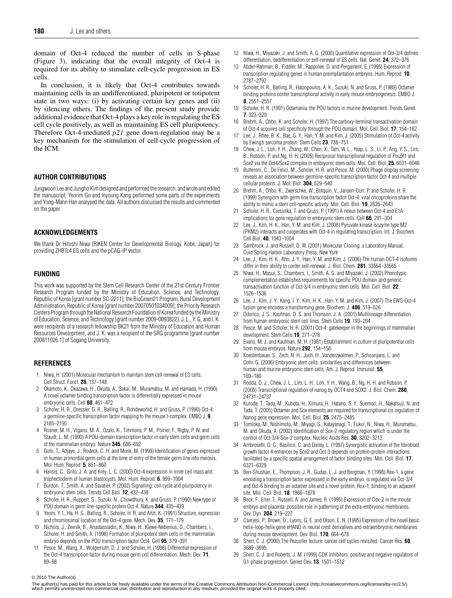domain of Oct-4 reduced the number of cells in S-phase (Figure 3), indicating that the overall integrity of Oct-4 is required for its ability to stimulate cell-cycle progression in ES cells.

In conclusion, it is likely that Oct-4 contributes towards maintaining cells in an undifferentiated, pluripotent or totipotent state in two ways: (i) by activating certain key genes and (ii) by silencing others. The findings of the present study provide additional evidence that Oct-4 plays a key role in regulating the ES cell cycle positively, as well as maintaining ES cell pluripotency. Therefore Oct-4-mediated *p21* gene down-regulation may be a key mechanism for the stimulation of cell-cycle progression of the ICM.

# **AUTHOR CONTRIBUTIONS**

Jungwoon Lee and Jungho Kim designed and performed the research, and wrote and edited the manuscript. Yeorim Go and Inyoung Kang performed some parts of the experiments and Yong-Mahn Han analysed the data. All authors discussed the results and commented on the paper.

# **ACKNOWLEDGEMENTS**

We thank Dr Hitoshi Niwa (RIKEN Center for Developmental Biology, Kobe, Japan) for providing ZHBTc4 ES cells and the pCAG-IP vector.

# **FUNDING**

This work was supported by the Stem Cell Research Center of the 21st Century Frontier Research Program funded by the Ministry of Education, Science, and Technology, Republic of Korea [grant number SC-2211]; the BioGreen21 Program, Rural Development Administration, Republic of Korea [grant number 20070501034009]; the Priority Research Centers Program through the National Research Foundation of Korea funded by the Ministry of Education, Science, and Technology [grant number 2009-0093822]. J. L., Y. G. and I. K. were recipients of a research fellowship BK21 from the Ministry of Education and Human Resources Development, and J. K. was a recipient of the SRG programme [grant number 200811026.1] of Sogang University.

# **REFERENCES**

- 1 Niwa, H. (2001) Molecular mechanism to maintain stem cell renewal of ES cells. Cell Struct. Funct. **26**, 137–148
- 2 Okamoto, K., Okazawa, H., Okuda, A., Sakai, M., Muramatsu, M. and Hamada, H. (1990) A novel octamer binding transcription factor is differentially expressed in mouse embryonic cells. Cell **60**, 461–472
- 3 Scholer, H. R., Dressler, G. R., Balling, R., Rohdewohld, H. and Gruss, P. (1990) Oct-4: a germline-specific transcription factor mapping to the mouse t-complex. EMBO J. **9**, 2185–2195
- Rosner, M. H., Vigano, M. A., Ozato, K., Timmons, P. M., Poirier, F., Rigby, P. W. and Staudt, L. M. (1990) A POU-domain transcription factor in early stem cells and germ cells of the mammalian embryo. Nature **345**, 686–692
- 5 Goto, T., Adjaye, J., Rodeck, C. H. and Monk, M. (1999) Identification of genes expressed in human primordial germ cells at the time of entry of the female germ line into meiosis. Mol. Hum. Reprod. **5**, 851–860
- 6 Hansis, C., Grifo, J. A. and Krey, L. C. (2000) Oct-4 expression in inner cell mass and trophectoderm of human blastocysts. Mol. Hum. Reprod. **6**, 999–1004
- 7 Burdon, T., Smith, A. and Savatier, P. (2002) Signalling, cell cycle and pluripotency in embryonic stem cells. Trends Cell Biol. **12**, 432–438
- 8 Scholer, H. R., Ruppert, S., Suzuki, N., Chowdhury, K. and Gruss, P. (1990) New type of POU domain in germ line-specific protein Oct-4. Nature **344**, 435–439
- 9 Yeom, Y. I., Ha, H. S., Balling, R., Scholer, H. R. and Artzt, K. (1991) Structure, expression and chromosomal location of the Oct-4 gene. Mech. Dev. **35**, 171–179
- 10 Nichols, J., Zevnik, B., Anastassiadis, K., Niwa, H., Klewe-Nebenius, D., Chambers, I., Scholer, H. and Smith, A. (1998) Formation of pluripotent stem cells in the mammalian embryo depends on the POU transcription factor Oct4. Cell **95**, 379–391
- 11 Pesce, M., Wang, X., Wolgemuth, D. J. and Scholer, H. (1998) Differential expression of the Oct-4 transcription factor during mouse germ cell differentiation. Mech. Dev. **71**, 89–98
- 12 Niwa, H., Miyazaki, J. and Smith, A. G. (2000) Quantitative expression of Oct-3/4 defines differentiation, dedifferentiation or self-renewal of ES cells. Nat. Genet. **24**, 372–376
- 13 Abdel-Rahman, B., Fiddler, M., Rappolee, D. and Pergament, E. (1995) Expression of transcription regulating genes in human preimplantation embryos. Hum. Reprod. **10**, 2787–2792
- 14 Scholer, H. R., Balling, R., Hatzopoulos, A. K., Suzuki, N. and Gruss, P. (1989) Octamer binding proteins confer transcriptional activity in early mouse embryogenesis. EMBO J. **8**, 2551–2557
- 15 Scholer, H. R. (1991) Octamania: the POU factors in murine development. Trends Genet. **7**, 323–329
- 16 Brehm, A., Ohbo, K. and Scholer, H. (1997) The carboxy-terminal transactivation domain of Oct-4 acquires cell specificity through the POU domain. Mol. Cell. Biol. **17**, 154–162
- 17 Lee, J., Rhee, B. K., Bae, G. Y., Han, Y. M. and Kim, J. (2005) Stimulation of Oct-4 activity by Ewing's sarcoma protein. Stem Cells **23**, 738–751
- Chew, J. L., Loh, Y. H., Zhang, W., Chen, X., Tam, W. L., Yeap, L. S., Li, P., Ang, Y. S., Lim, B., Robson, P. and Ng, H. H. (2005) Reciprocal transcriptional regulation of Pou5f1 and Sox2 via the Oct4/Sox2 complex in embryonic stem cells. Mol. Cell. Biol. **25**, 6031–6046
- 19 Butteroni, C., De Felici, M., Scholer, H. R. and Pesce, M. (2000) Phage display screening reveals an association between germline-specific transcription factor Oct-4 and multiple cellular proteins. J. Mol. Biol. **304**, 529–540
- 20 Brehm, A., Ohbo, K., Zwerschke, W., Botquin, V., Jansen-Durr, P. and Scholer, H. R. (1999) Synergism with germ line transcription factor Oct-4: viral oncoproteins share the ability to mimic a stem cell-specific activity. Mol. Cell. Biol. **19**, 2635–2643
- Scholer, H. R., Ciesiolka, T. and Gruss, P. (1991) A nexus between Oct-4 and E1A: implications for gene regulation in embryonic stem cells. Cell **66**, 291–304
- 22 Lee, J., Kim, H. K., Han, Y. M. and Kim, J. (2008) Pyruvate kinase isozyme type M2 (PKM2) interacts and cooperates with Oct-4 in regulating transcription. Int. J. Biochem. Cell Biol. **40**, 1043–1054
- 23 Sambrook, J. and Russell, D. W. (2001) Molecular Cloning: a Laboratory Manual, Cold Spring Harbor Laboratory Press, New York
- 24 Lee, J., Kim, H. K., Rho, J. Y., Han, Y. M. and Kim, J. (2006) The human OCT-4 isoforms differ in their ability to confer self-renewal. J. Biol. Chem. **281**, 33554–33565
- 25 Niwa, H., Masui, S., Chambers, I., Smith, A. G. and Miyazaki, J. (2002) Phenotypic complementation establishes requirements for specific POU domain and generic transactivation function of Oct-3/4 in embryonic stem cells. Mol. Cell. Biol. **22**, 1526–1536
- 26 Lee, J., Kim, J. Y., Kang, I. Y., Kim, H. K., Han, Y. M. and Kim, J. (2007) The EWS-Oct-4 fusion gene encodes a transforming gene. Biochem. J. **406**, 519–526
- 27 Odorico, J. S., Kaufman, D. S. and Thomson, J. A. (2001) Multilineage differentiation from human embryonic stem cell lines. Stem Cells **19**, 193–204
- 28 Pesce, M. and Scholer, H. R. (2001) Oct-4: gatekeeper in the beginnings of mammalian development. Stem Cells **19**, 271–278
- 29 Evans, M. J. and Kaufman, M. H. (1981) Establishment in culture of pluripotential cells from mouse embryos. Nature **292**, 154–156
- 30 Koestenbauer, S., Zech, N. H., Juch, H., Vanderzwalmen, P., Schoonjans, L. and Dohr, G. (2006) Embryonic stem cells: similarities and differences between human and murine embryonic stem cells. Am. J. Reprod. Immunol. **55**, 169–180
- 31 Rodda, D. J., Chew, J. L., Lim, L. H., Loh, Y. H., Wang, B., Ng, H. H. and Robson, P. (2005) Transcriptional regulation of nanog by OCT4 and SOX2. J. Biol. Chem. **280**, 24731–24737
- 32 Kuroda, T., Tada, M., Kubota, H., Kimura, H., Hatano, S. Y., Suemori, H., Nakatsuji, N. and Tada, T. (2005) Octamer and Sox elements are required for transcriptional cis regulation of Nanog gene expression. Mol. Cell. Biol. **25**, 2475–2485
- 33 Tomioka, M., Nishimoto, M., Miyagi, S., Katayanagi, T., Fukui, N., Niwa, H., Muramatsu, M. and Okuda, A. (2002) Identification of Sox-2 regulatory region which is under the control of Oct-3/4-Sox-2 complex. Nucleic Acids Res. **30**, 3202–3213
- 34 Ambrosetti, D. C., Basilico, C. and Dailey, L. (1997) Synergistic activation of the fibroblast growth factor 4 enhancer by Sox2 and Oct-3 depends on protein-protein interactions facilitated by a specific spatial arrangement of factor binding sites. Mol. Cell. Biol. **17**, 6321–6329
- 35 Ben-Shushan, E., Thompson, J. R., Gudas, L. J. and Bergman, Y. (1998) Rex-1, a gene encoding a transcription factor expressed in the early embryo, is regulated via Oct-3/4 and Oct-6 binding to an octamer site and a novel protein, Rox-1, binding to an adjacent site. Mol. Cell. Biol. **18**, 1866–1878
- 36 Beck, F., Erler, T., Russell, A. and James, R. (1995) Expression of Cdx-2 in the mouse embryo and placenta: possible role in patterning of the extra-embryonic membranes. Dev. Dyn. **204**, 219–227
- 37 Cserjesi, P., Brown, D., Lyons, G. E. and Olson, E. N. (1995) Expression of the novel basic helix-loop-helix gene eHAND in neural crest derivatives and extraembryonic membranes during mouse development. Dev. Biol. **170**, 664–678
- 38 Sherr, C. J. (2000) The Pezcoller lecture: cancer cell cycles revisited. Cancer Res. **60**, 3689–3695
- 39 Sherr, C. J. and Roberts, J. M. (1999) CDK inhibitors: positive and negative regulators of G1-phase progression. Genes Dev. **13**, 1501–1512